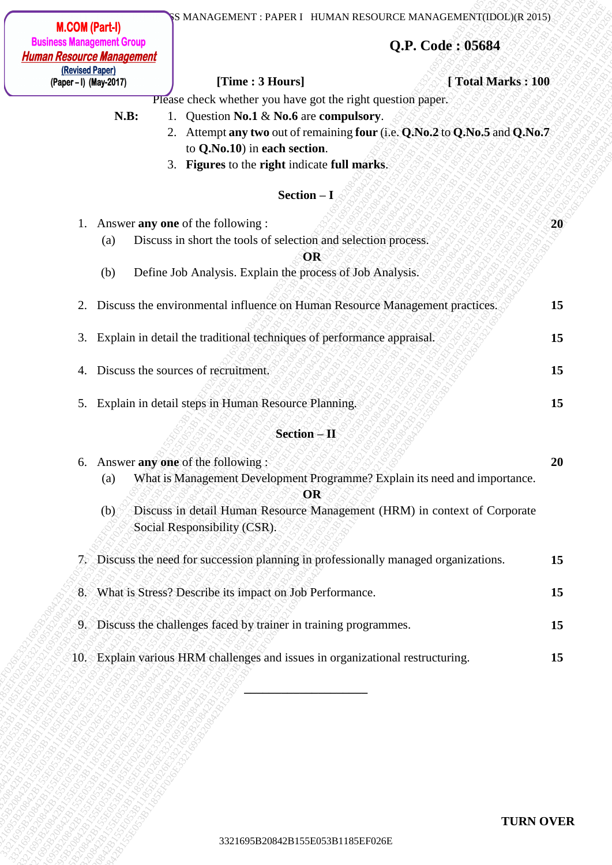- **N.B:** 1. Question **No.1** & **No.6** are **compulsory**.
	- 2. Attempt **any two** out of remaining **four** (i.e. **Q.No.2** to **Q.No.5** and **Q.No.7**  to **Q.No.10**) in **each section**.
	- 3. **Figures** to the **right** indicate **full marks**.

### $\textbf{Section} - \textbf{I}$

|                                                                      | <b>M.COM (Part-I)</b>                     |                                                                                                                                                                                                                                                                                                                                                                                             | S MANAGEMENT : PAPER I HUMAN RESOURCE MANAGEMENT(IDOL)(R 2015)                                                                                            |                   |
|----------------------------------------------------------------------|-------------------------------------------|---------------------------------------------------------------------------------------------------------------------------------------------------------------------------------------------------------------------------------------------------------------------------------------------------------------------------------------------------------------------------------------------|-----------------------------------------------------------------------------------------------------------------------------------------------------------|-------------------|
| <b>Business Management Group</b><br><b>Human Resource Management</b> |                                           | Q.P. Code: 05684                                                                                                                                                                                                                                                                                                                                                                            |                                                                                                                                                           |                   |
|                                                                      | (Revised Paper)<br>(Paper – I) (May-2017) | [Time : 3 Hours]                                                                                                                                                                                                                                                                                                                                                                            |                                                                                                                                                           | [Total Marks: 100 |
| 2.                                                                   | N.B:<br>(a)<br>(b)                        | Please check whether you have got the right question paper.<br>1. Question No.1 & No.6 are compulsory.<br>to Q.No.10) in each section.<br>3. Figures to the right indicate full marks.<br>$Section - I$<br>1. Answer any one of the following :<br>Discuss in short the tools of selection and selection process.<br><b>OR</b><br>Define Job Analysis. Explain the process of Job Analysis. | 2. Attempt any two out of remaining four (i.e. Q.No.2 to Q.No.5 and Q.No.7<br>Discuss the environmental influence on Human Resource Management practices. | 20<br>15          |
|                                                                      |                                           | 3. Explain in detail the traditional techniques of performance appraisal.                                                                                                                                                                                                                                                                                                                   |                                                                                                                                                           | 15                |
| 4.                                                                   |                                           | Discuss the sources of recruitment.                                                                                                                                                                                                                                                                                                                                                         |                                                                                                                                                           | 15                |
|                                                                      |                                           | 5. Explain in detail steps in Human Resource Planning.                                                                                                                                                                                                                                                                                                                                      |                                                                                                                                                           | 15                |
|                                                                      |                                           | <b>Section-II</b>                                                                                                                                                                                                                                                                                                                                                                           |                                                                                                                                                           |                   |
|                                                                      | (a)<br>(b)                                | 6. Answer any one of the following:<br>OR<br>Social Responsibility (CSR).                                                                                                                                                                                                                                                                                                                   | What is Management Development Programme? Explain its need and importance.<br>Discuss in detail Human Resource Management (HRM) in context of Corporate   | 20                |
|                                                                      |                                           |                                                                                                                                                                                                                                                                                                                                                                                             | 7. Discuss the need for succession planning in professionally managed organizations.                                                                      | 15                |
|                                                                      |                                           | 8. What is Stress? Describe its impact on Job Performance.                                                                                                                                                                                                                                                                                                                                  |                                                                                                                                                           | 15                |
|                                                                      |                                           | 9. Discuss the challenges faced by trainer in training programmes.                                                                                                                                                                                                                                                                                                                          |                                                                                                                                                           | 15                |
|                                                                      |                                           | 10. Explain various HRM challenges and issues in organizational restructuring.                                                                                                                                                                                                                                                                                                              |                                                                                                                                                           | 15                |
|                                                                      |                                           |                                                                                                                                                                                                                                                                                                                                                                                             |                                                                                                                                                           | <b>TURN OVER</b>  |
|                                                                      |                                           | 3321695B20842B155E053B1185EF026E                                                                                                                                                                                                                                                                                                                                                            |                                                                                                                                                           |                   |